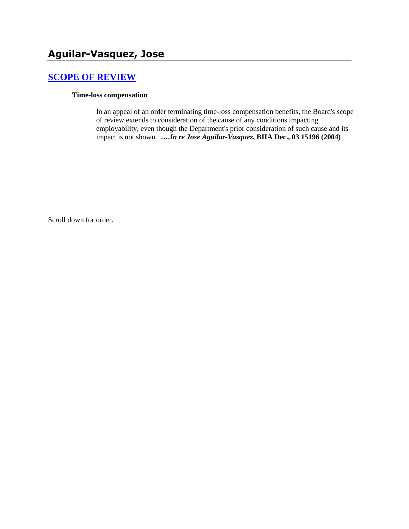# **[SCOPE OF REVIEW](http://www.biia.wa.gov/SDSubjectIndex.html#SCOPE_OF_REVIEW)**

#### **Time-loss compensation**

In an appeal of an order terminating time-loss compensation benefits, the Board's scope of review extends to consideration of the cause of any conditions impacting employability, even though the Department's prior consideration of such cause and its impact is not shown. **….***In re Jose Aguilar-Vasquez***, BIIA Dec., 03 15196 (2004)** 

Scroll down for order.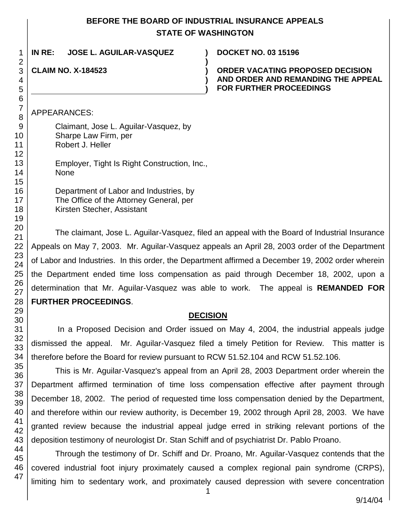## **BEFORE THE BOARD OF INDUSTRIAL INSURANCE APPEALS STATE OF WASHINGTON**

**)**

**) )**

# **IN RE: JOSE L. AGUILAR-VASQUEZ ) DOCKET NO. 03 15196**

## **CLAIM NO. X-184523 )**

### **ORDER VACATING PROPOSED DECISION AND ORDER AND REMANDING THE APPEAL FOR FURTHER PROCEEDINGS**

### APPEARANCES:

Claimant, Jose L. Aguilar-Vasquez, by Sharpe Law Firm, per Robert J. Heller Employer, Tight Is Right Construction, Inc., None Department of Labor and Industries, by The Office of the Attorney General, per

Kirsten Stecher, Assistant

The claimant, Jose L. Aguilar-Vasquez, filed an appeal with the Board of Industrial Insurance Appeals on May 7, 2003. Mr. Aguilar-Vasquez appeals an April 28, 2003 order of the Department of Labor and Industries. In this order, the Department affirmed a December 19, 2002 order wherein the Department ended time loss compensation as paid through December 18, 2002, upon a determination that Mr. Aguilar-Vasquez was able to work. The appeal is **REMANDED FOR FURTHER PROCEEDINGS**.

### **DECISION**

In a Proposed Decision and Order issued on May 4, 2004, the industrial appeals judge dismissed the appeal. Mr. Aguilar-Vasquez filed a timely Petition for Review. This matter is therefore before the Board for review pursuant to RCW 51.52.104 and RCW 51.52.106.

This is Mr. Aguilar-Vasquez's appeal from an April 28, 2003 Department order wherein the Department affirmed termination of time loss compensation effective after payment through December 18, 2002. The period of requested time loss compensation denied by the Department, and therefore within our review authority, is December 19, 2002 through April 28, 2003. We have granted review because the industrial appeal judge erred in striking relevant portions of the deposition testimony of neurologist Dr. Stan Schiff and of psychiatrist Dr. Pablo Proano.

Through the testimony of Dr. Schiff and Dr. Proano, Mr. Aguilar-Vasquez contends that the covered industrial foot injury proximately caused a complex regional pain syndrome (CRPS), limiting him to sedentary work, and proximately caused depression with severe concentration

1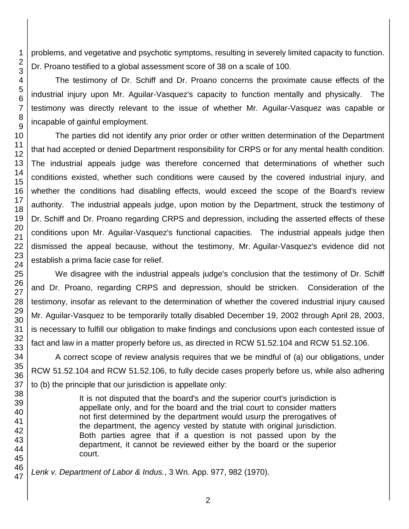problems, and vegetative and psychotic symptoms, resulting in severely limited capacity to function. Dr. Proano testified to a global assessment score of 38 on a scale of 100.

The testimony of Dr. Schiff and Dr. Proano concerns the proximate cause effects of the industrial injury upon Mr. Aguilar-Vasquez's capacity to function mentally and physically. The testimony was directly relevant to the issue of whether Mr. Aguilar-Vasquez was capable or incapable of gainful employment.

The parties did not identify any prior order or other written determination of the Department that had accepted or denied Department responsibility for CRPS or for any mental health condition. The industrial appeals judge was therefore concerned that determinations of whether such conditions existed, whether such conditions were caused by the covered industrial injury, and whether the conditions had disabling effects, would exceed the scope of the Board's review authority. The industrial appeals judge, upon motion by the Department, struck the testimony of Dr. Schiff and Dr. Proano regarding CRPS and depression, including the asserted effects of these conditions upon Mr. Aguilar-Vasquez's functional capacities. The industrial appeals judge then dismissed the appeal because, without the testimony, Mr. Aguilar-Vasquez's evidence did not establish a prima facie case for relief.

We disagree with the industrial appeals judge's conclusion that the testimony of Dr. Schiff and Dr. Proano, regarding CRPS and depression, should be stricken. Consideration of the testimony, insofar as relevant to the determination of whether the covered industrial injury caused Mr. Aguilar-Vasquez to be temporarily totally disabled December 19, 2002 through April 28, 2003, is necessary to fulfill our obligation to make findings and conclusions upon each contested issue of fact and law in a matter properly before us, as directed in RCW 51.52.104 and RCW 51.52.106.

A correct scope of review analysis requires that we be mindful of (a) our obligations, under RCW 51.52.104 and RCW 51.52.106, to fully decide cases properly before us, while also adhering to (b) the principle that our jurisdiction is appellate only:

> It is not disputed that the board's and the superior court's jurisdiction is appellate only, and for the board and the trial court to consider matters not first determined by the department would usurp the prerogatives of the department, the agency vested by statute with original jurisdiction. Both parties agree that if a question is not passed upon by the department, it cannot be reviewed either by the board or the superior court.

*Lenk v. Department of Labor & Indus.*, 3 Wn. App. 977, 982 (1970).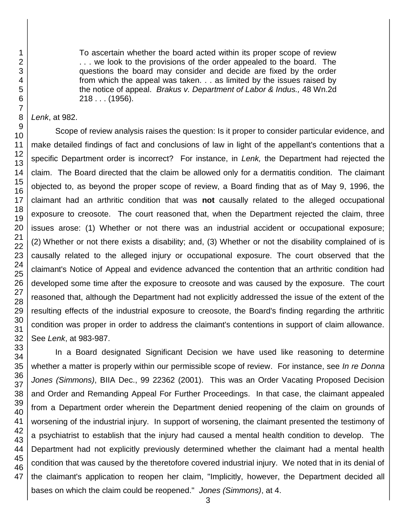46 47

1 2 3 To ascertain whether the board acted within its proper scope of review . . . we look to the provisions of the order appealed to the board. The questions the board may consider and decide are fixed by the order from which the appeal was taken. . . as limited by the issues raised by the notice of appeal. *Brakus v. Department of Labor & Indus.,* 48 Wn.2d 218 . . . (1956).

*Lenk*, at 982.

Scope of review analysis raises the question: Is it proper to consider particular evidence, and make detailed findings of fact and conclusions of law in light of the appellant's contentions that a specific Department order is incorrect? For instance, in *Lenk,* the Department had rejected the claim. The Board directed that the claim be allowed only for a dermatitis condition. The claimant objected to, as beyond the proper scope of review, a Board finding that as of May 9, 1996, the claimant had an arthritic condition that was **not** causally related to the alleged occupational exposure to creosote. The court reasoned that, when the Department rejected the claim, three issues arose: (1) Whether or not there was an industrial accident or occupational exposure; (2) Whether or not there exists a disability; and, (3) Whether or not the disability complained of is causally related to the alleged injury or occupational exposure. The court observed that the claimant's Notice of Appeal and evidence advanced the contention that an arthritic condition had developed some time after the exposure to creosote and was caused by the exposure. The court reasoned that, although the Department had not explicitly addressed the issue of the extent of the resulting effects of the industrial exposure to creosote, the Board's finding regarding the arthritic condition was proper in order to address the claimant's contentions in support of claim allowance. See *Lenk*, at 983-987.

In a Board designated Significant Decision we have used like reasoning to determine whether a matter is properly within our permissible scope of review. For instance, see *In re Donna Jones (Simmons)*, BIIA Dec., 99 22362 (2001). This was an Order Vacating Proposed Decision and Order and Remanding Appeal For Further Proceedings. In that case, the claimant appealed from a Department order wherein the Department denied reopening of the claim on grounds of worsening of the industrial injury. In support of worsening, the claimant presented the testimony of a psychiatrist to establish that the injury had caused a mental health condition to develop. The Department had not explicitly previously determined whether the claimant had a mental health condition that was caused by the theretofore covered industrial injury. We noted that in its denial of the claimant's application to reopen her claim, "Implicitly, however, the Department decided all bases on which the claim could be reopened." *Jones (Simmons)*, at 4.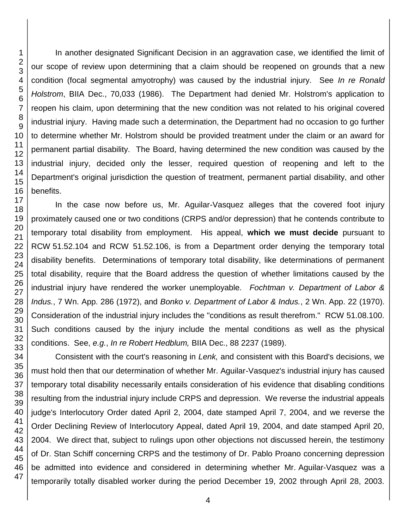In another designated Significant Decision in an aggravation case, we identified the limit of our scope of review upon determining that a claim should be reopened on grounds that a new condition (focal segmental amyotrophy) was caused by the industrial injury. See *In re Ronald Holstrom*, BIIA Dec., 70,033 (1986). The Department had denied Mr. Holstrom's application to reopen his claim, upon determining that the new condition was not related to his original covered industrial injury. Having made such a determination, the Department had no occasion to go further to determine whether Mr. Holstrom should be provided treatment under the claim or an award for permanent partial disability. The Board, having determined the new condition was caused by the industrial injury, decided only the lesser, required question of reopening and left to the Department's original jurisdiction the question of treatment, permanent partial disability, and other benefits.

In the case now before us, Mr. Aguilar-Vasquez alleges that the covered foot injury proximately caused one or two conditions (CRPS and/or depression) that he contends contribute to temporary total disability from employment. His appeal, **which we must decide** pursuant to RCW 51.52.104 and RCW 51.52.106, is from a Department order denying the temporary total disability benefits. Determinations of temporary total disability, like determinations of permanent total disability, require that the Board address the question of whether limitations caused by the industrial injury have rendered the worker unemployable. *Fochtman v. Department of Labor & Indus.*, 7 Wn. App. 286 (1972), and *Bonko v. Department of Labor & Indus.*, 2 Wn. App. 22 (1970). Consideration of the industrial injury includes the "conditions as result therefrom." RCW 51.08.100. Such conditions caused by the injury include the mental conditions as well as the physical conditions. See, *e.g.*, *In re Robert Hedblum,* BIIA Dec., 88 2237 (1989).

Consistent with the court's reasoning in *Lenk,* and consistent with this Board's decisions, we must hold then that our determination of whether Mr. Aguilar-Vasquez's industrial injury has caused temporary total disability necessarily entails consideration of his evidence that disabling conditions resulting from the industrial injury include CRPS and depression. We reverse the industrial appeals judge's Interlocutory Order dated April 2, 2004, date stamped April 7, 2004, and we reverse the Order Declining Review of Interlocutory Appeal, dated April 19, 2004, and date stamped April 20, 2004. We direct that, subject to rulings upon other objections not discussed herein, the testimony of Dr. Stan Schiff concerning CRPS and the testimony of Dr. Pablo Proano concerning depression be admitted into evidence and considered in determining whether Mr. Aguilar-Vasquez was a temporarily totally disabled worker during the period December 19, 2002 through April 28, 2003.